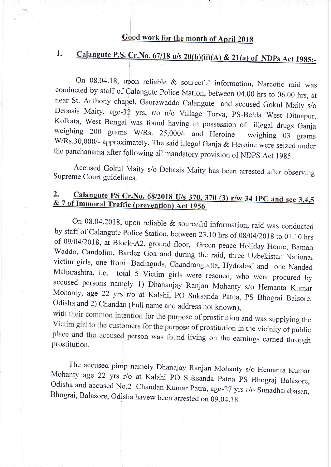## Good work for the month of April 2018

# 1. Calangute P.S. Cr.No. 67/18 u/s  $20(b)(ii)(A)$  &  $21(a)$  of NDPs Act 1985:-

On 08.04.18, upon reliable & sourceful information, Narcotic raid was conducted by staff of Calangute Police Station, between 04.00 hrs to 06.00 hrs, at near St. Anthony chapel, Gaurawaddo Calangute and accused Gokul Maity Debasis Maity, age-32 yrs, r/o n/o Village Torva, PS-Belda West Ditnapur, Kolkata, West Bengal was found having in possession of illegal drugs Ganja weighing 200 grams W/Rs. 25,000/- and Heroine weighing 03 grams W/Rs.30,0 the panchanama after following all mandatory provision of NDpS Act 19g5.

Accused Gokul Maity s/o Debasis Maity has been arrested after observing Supreme Court guidelines.

#### Calangute PS Cr. No.  $68/2018$  U/s  $370$ ,  $370$  (3) r/w 34 IPC and sec  $3,4,5$  $2.$ & 7 of Immoral Traffic (prevention) Act 1956

On 08.04.2018, upon reliable & sourceful information, raid was conducted<br>by staff of Calangute Police Station, between 23.10 hrs of 08/04/2018 to 01.10 hrs<br>of 09/04/2018, at Block-A2, ground floor, Green peace Holiday Home

with their common intention for the purpose of prostitution and was supplying the Victim girl to the customers for the purpose of prostitution in the vicinity of public place and the accused person was found living on the earnings earned through prostitution.

The accused pimp namely Dhanajay Ranjan Mohanty s/o Hemanta Kumar<br>Mohanty age 22 yrs r/o at Kalahi PO Suksanda Patna PS Bhograj Balasore,<br>Odisha and accused No.2 Chandan Kumar Patra, age-27 yrs r/o Sunadharabasan,<br>Bhograi,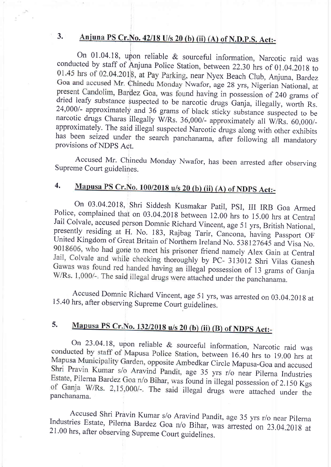#### Anjuna PS Cr. No. 42/18 U/s 20 (b) (ii) (A) of N.D.P.S. Act:- $3<sub>1</sub>$

l

On 01.04.18, upon reliable & sourceful information, Narcotic raid was conducted by staff of Anjuna Police Station, between 22.30 hrs of 01.04.2018 to 01.45 hrs of 02.04.2018, at Pay Parking, near Nyex Beach Club, Anjuna, Bardez Goa and accused Mr. Chinedu Monday Nwafor, age 28 yrs, Nigerian National, at present Candolim, Bardez Goa, was found having in possession of 240 grams of dried leafy substance suspected to be narcotic drugs Ganja, illegally, worth Rs. 24,000/- approximately and 36 grams of black sticky substance suspected to be narcotic drugs Charas illegally W/Rs. 36,000/- approximately al

Accused Mr. Chinedu Monday Nwafor, has been arrested after observing Supreme Court guidelines.

#### Mapusa PS Cr.No. 100/2018 u/s 20 (b) (ii) (A) of NDPS Act:-4.

On 03.04.2018, Shri Siddesh Kusmakar Patil, PSI, III IRB Goa Armed Police, complained that on 03.04.2018 between 12.00 hrs to 15.00 hrs at Central Jail Colvale, accused person Domnic Richard Vincent, age 51 yrs, British Na 9018606, who had gone to meet his prisoner friend namely Alex Gain at Central Jail, Colvale and while checking thoroughly by PC- 313012 Shri Vilas Ganesh Gawas was found red handed having an illegal possession of 13 grams of Ganja W/Rs. 1,000/-. The said illegal drugs were attached under the panchanama.

Accused Domnic Richard Vincent, age 51 yrs, was arrested on 03.04.2018 at 15.40 hrs, after observing Supreme Court guidelines.

#### J. Mapusa PS Cr.No. 132/2018 u/s 20 (b) (ii) (B) of NDPS Act:-

On 23.04.18, upon reliable & sourceful information, Narcotic raid was conducted by staff of Mapusa Police Station, between 16.40 hrs to 19.00 hrs at Mapusa Municipality Garden, opposite Ambedkar Circle Mapusa-Goa and accused Shri Pravin Kumar s/o Aravind Pandit, age 35 yrs r/o near Pilerna Industries Estate, Pilerna Bardez Goa n/o Bihar, was found in illegal possession of 2.150 Kgs of Ganja W/Rs. 2,15,000/-. The said illegal drugs were attached under the panchanama.

Accused Shri Pravin Kumar s/o Aravind Pandit, age 35 yrs r/o near pilerna Industries Estate, Pilerna Bardez Goa n/o Bihar, was arrested on 23.04.201g at 21.00 hrs, after observing Supreme Court guidelines.